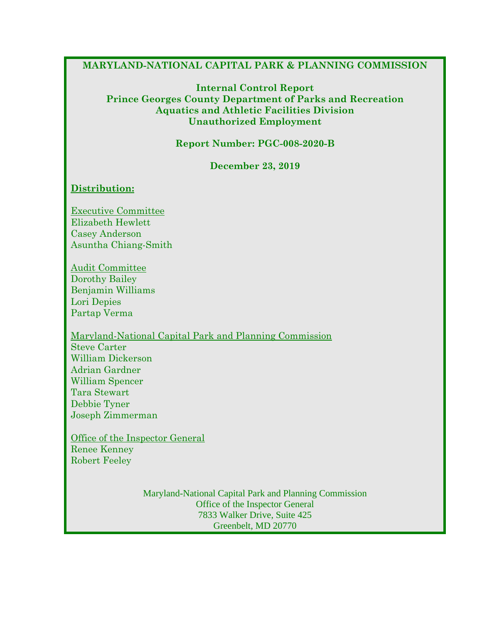#### **MARYLAND-NATIONAL CAPITAL PARK & PLANNING COMMISSION**

#### **Internal Control Report Prince Georges County Department of Parks and Recreation Aquatics and Athletic Facilities Division Unauthorized Employment**

**Report Number: PGC-008-2020-B**

**December 23, 2019**

#### **Distribution:**

Executive Committee Elizabeth Hewlett Casey Anderson Asuntha Chiang-Smith

Audit Committee Dorothy Bailey Benjamin Williams Lori Depies Partap Verma

Maryland-National Capital Park and Planning Commission Steve Carter William Dickerson Adrian Gardner William Spencer Tara Stewart Debbie Tyner Joseph Zimmerman

Office of the Inspector General Renee Kenney Robert Feeley

> Maryland-National Capital Park and Planning Commission Office of the Inspector General 7833 Walker Drive, Suite 425 Greenbelt, MD 20770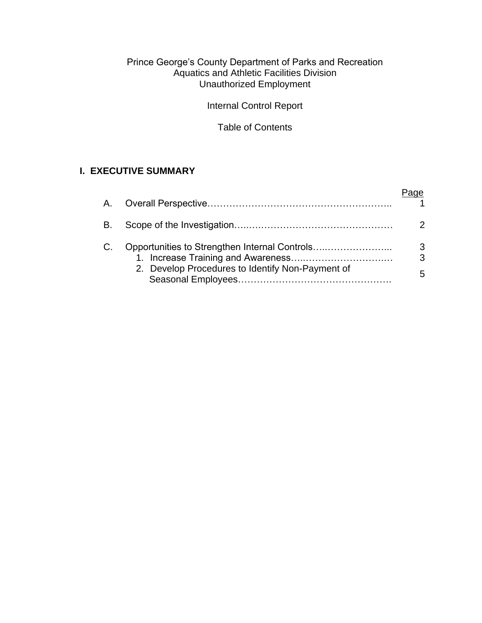#### Prince George's County Department of Parks and Recreation Aquatics and Athletic Facilities Division Unauthorized Employment

Internal Control Report

Table of Contents

# **I. EXECUTIVE SUMMARY**

| В. |                                                  |              |
|----|--------------------------------------------------|--------------|
| C. | 2. Develop Procedures to Identify Non-Payment of | 3<br>3<br>5. |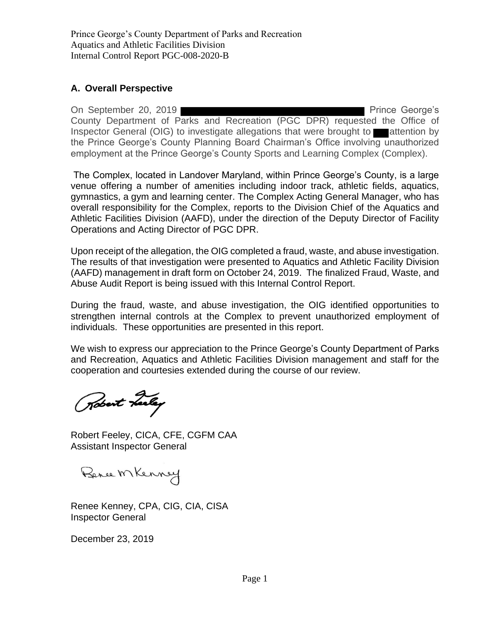## **A. Overall Perspective**

On September 20, 2019 **Prince George's** County Department of Parks and Recreation (PGC DPR) requested the Office of Inspector General (OIG) to investigate allegations that were brought to attention by the Prince George's County Planning Board Chairman's Office involving unauthorized employment at the Prince George's County Sports and Learning Complex (Complex).

The Complex, located in Landover Maryland, within Prince George's County, is a large venue offering a number of amenities including indoor track, athletic fields, aquatics, gymnastics, a gym and learning center. The Complex Acting General Manager, who has overall responsibility for the Complex, reports to the Division Chief of the Aquatics and Athletic Facilities Division (AAFD), under the direction of the Deputy Director of Facility Operations and Acting Director of PGC DPR.

Upon receipt of the allegation, the OIG completed a fraud, waste, and abuse investigation. The results of that investigation were presented to Aquatics and Athletic Facility Division (AAFD) management in draft form on October 24, 2019. The finalized Fraud, Waste, and Abuse Audit Report is being issued with this Internal Control Report.

During the fraud, waste, and abuse investigation, the OIG identified opportunities to strengthen internal controls at the Complex to prevent unauthorized employment of individuals. These opportunities are presented in this report.

We wish to express our appreciation to the Prince George's County Department of Parks and Recreation, Aquatics and Athletic Facilities Division management and staff for the cooperation and courtesies extended during the course of our review.

Robert Leeley

Robert Feeley, CICA, CFE, CGFM CAA Assistant Inspector General

Bence MKenney

Renee Kenney, CPA, CIG, CIA, CISA Inspector General

December 23, 2019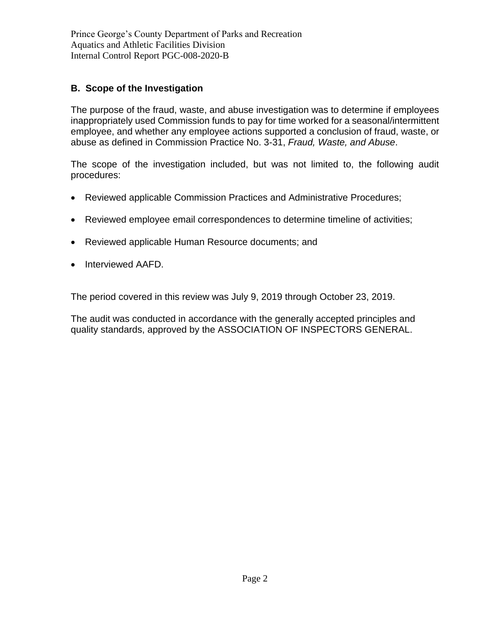## **B. Scope of the Investigation**

The purpose of the fraud, waste, and abuse investigation was to determine if employees inappropriately used Commission funds to pay for time worked for a seasonal/intermittent employee, and whether any employee actions supported a conclusion of fraud, waste, or abuse as defined in Commission Practice No. 3-31, *Fraud, Waste, and Abuse*.

The scope of the investigation included, but was not limited to, the following audit procedures:

- Reviewed applicable Commission Practices and Administrative Procedures;
- Reviewed employee email correspondences to determine timeline of activities;
- Reviewed applicable Human Resource documents; and
- Interviewed AAFD.

The period covered in this review was July 9, 2019 through October 23, 2019.

The audit was conducted in accordance with the generally accepted principles and quality standards, approved by the ASSOCIATION OF INSPECTORS GENERAL.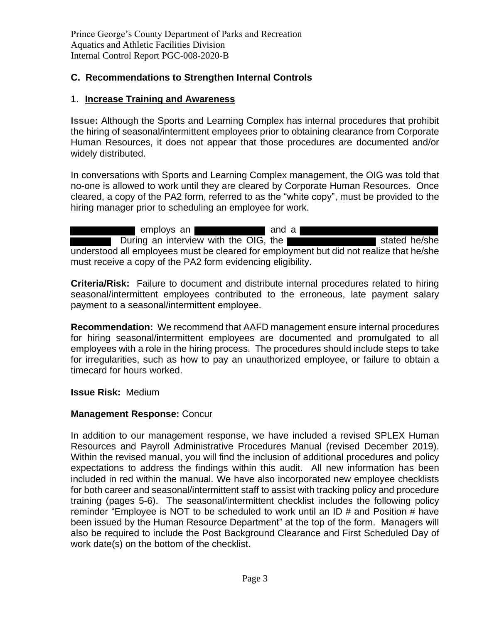## **C. Recommendations to Strengthen Internal Controls**

## 1. **Increase Training and Awareness**

**Issue:** Although the Sports and Learning Complex has internal procedures that prohibit the hiring of seasonal/intermittent employees prior to obtaining clearance from Corporate Human Resources, it does not appear that those procedures are documented and/or widely distributed.

In conversations with Sports and Learning Complex management, the OIG was told that no-one is allowed to work until they are cleared by Corporate Human Resources. Once cleared, a copy of the PA2 form, referred to as the "white copy", must be provided to the hiring manager prior to scheduling an employee for work.

employs an **and a** During an interview with the OIG, the understood all employees must be cleared for employment but did not realize that he/she must receive a copy of the PA2 form evidencing eligibility.

**Criteria/Risk:** Failure to document and distribute internal procedures related to hiring seasonal/intermittent employees contributed to the erroneous, late payment salary payment to a seasonal/intermittent employee.

**Recommendation:** We recommend that AAFD management ensure internal procedures for hiring seasonal/intermittent employees are documented and promulgated to all employees with a role in the hiring process. The procedures should include steps to take for irregularities, such as how to pay an unauthorized employee, or failure to obtain a timecard for hours worked.

**Issue Risk:** Medium

## **Management Response:** Concur

In addition to our management response, we have included a revised SPLEX Human Resources and Payroll Administrative Procedures Manual (revised December 2019). Within the revised manual, you will find the inclusion of additional procedures and policy expectations to address the findings within this audit. All new information has been included in red within the manual. We have also incorporated new employee checklists for both career and seasonal/intermittent staff to assist with tracking policy and procedure training (pages 5-6). The seasonal/intermittent checklist includes the following policy reminder "Employee is NOT to be scheduled to work until an ID # and Position # have been issued by the Human Resource Department" at the top of the form. Managers will also be required to include the Post Background Clearance and First Scheduled Day of work date(s) on the bottom of the checklist.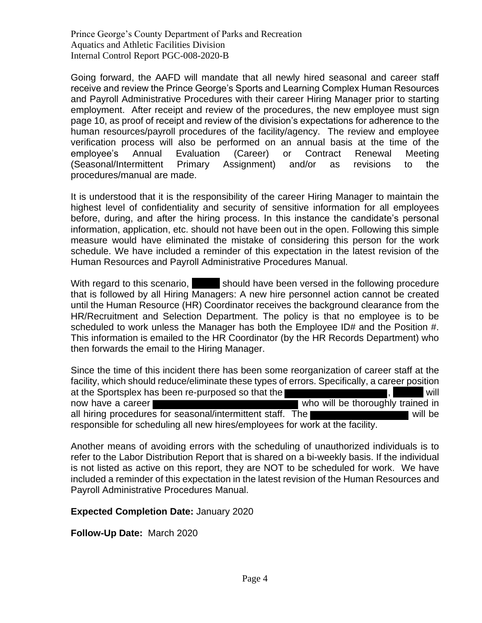Going forward, the AAFD will mandate that all newly hired seasonal and career staff receive and review the Prince George's Sports and Learning Complex Human Resources and Payroll Administrative Procedures with their career Hiring Manager prior to starting employment. After receipt and review of the procedures, the new employee must sign page 10, as proof of receipt and review of the division's expectations for adherence to the human resources/payroll procedures of the facility/agency. The review and employee verification process will also be performed on an annual basis at the time of the employee's Annual Evaluation (Career) or Contract Renewal Meeting (Seasonal/Intermittent Primary Assignment) and/or as revisions to the procedures/manual are made.

It is understood that it is the responsibility of the career Hiring Manager to maintain the highest level of confidentiality and security of sensitive information for all employees before, during, and after the hiring process. In this instance the candidate's personal information, application, etc. should not have been out in the open. Following this simple measure would have eliminated the mistake of considering this person for the work schedule. We have included a reminder of this expectation in the latest revision of the Human Resources and Payroll Administrative Procedures Manual.

With regard to this scenario, should have been versed in the following procedure that is followed by all Hiring Managers: A new hire personnel action cannot be created until the Human Resource (HR) Coordinator receives the background clearance from the HR/Recruitment and Selection Department. The policy is that no employee is to be scheduled to work unless the Manager has both the Employee ID# and the Position #. This information is emailed to the HR Coordinator (by the HR Records Department) who then forwards the email to the Hiring Manager.

Since the time of this incident there has been some reorganization of career staff at the facility, which should reduce/eliminate these types of errors. Specifically, a career position at the Sportsplex has been re-purposed so that the **solution of the set of the solution**, will now have a career who will be thoroughly trained in all hiring procedures for seasonal/intermittent staff. The responsible for scheduling all new hires/employees for work at the facility.

Another means of avoiding errors with the scheduling of unauthorized individuals is to refer to the Labor Distribution Report that is shared on a bi-weekly basis. If the individual is not listed as active on this report, they are NOT to be scheduled for work. We have included a reminder of this expectation in the latest revision of the Human Resources and Payroll Administrative Procedures Manual.

## **Expected Completion Date:** January 2020

**Follow-Up Date:** March 2020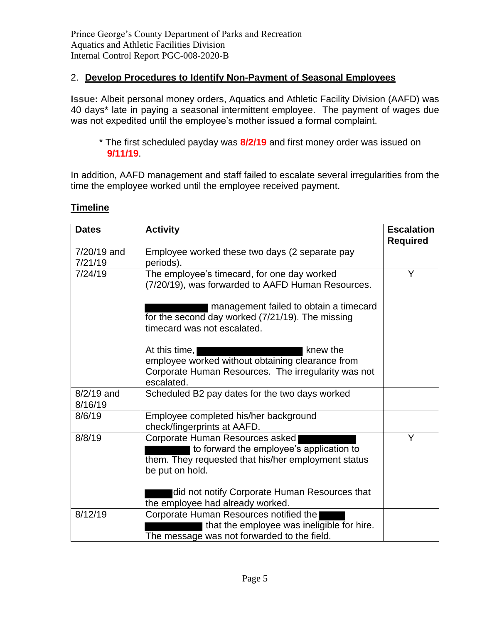## 2. **Develop Procedures to Identify Non-Payment of Seasonal Employees**

**Issue:** Albeit personal money orders, Aquatics and Athletic Facility Division (AAFD) was 40 days\* late in paying a seasonal intermittent employee. The payment of wages due was not expedited until the employee's mother issued a formal complaint.

\* The first scheduled payday was **8/2/19** and first money order was issued on **9/11/19**.

In addition, AAFD management and staff failed to escalate several irregularities from the time the employee worked until the employee received payment.

| <b>Dates</b>            | <b>Activity</b>                                                                                                                                                                                | <b>Escalation</b><br><b>Required</b> |
|-------------------------|------------------------------------------------------------------------------------------------------------------------------------------------------------------------------------------------|--------------------------------------|
| 7/20/19 and<br>7/21/19  | Employee worked these two days (2 separate pay<br>periods).                                                                                                                                    |                                      |
| 7/24/19                 | The employee's timecard, for one day worked<br>(7/20/19), was forwarded to AAFD Human Resources.<br>management failed to obtain a timecard<br>for the second day worked (7/21/19). The missing | Y                                    |
|                         | timecard was not escalated.<br>At this time,<br>knew the                                                                                                                                       |                                      |
|                         | employee worked without obtaining clearance from<br>Corporate Human Resources. The irregularity was not<br>escalated.                                                                          |                                      |
| $8/2/19$ and<br>8/16/19 | Scheduled B2 pay dates for the two days worked                                                                                                                                                 |                                      |
| 8/6/19                  | Employee completed his/her background<br>check/fingerprints at AAFD.                                                                                                                           |                                      |
| 8/8/19                  | Corporate Human Resources asked<br>to forward the employee's application to<br>them. They requested that his/her employment status<br>be put on hold.                                          | Υ                                    |
|                         | did not notify Corporate Human Resources that<br>the employee had already worked.                                                                                                              |                                      |
| 8/12/19                 | Corporate Human Resources notified the<br>that the employee was ineligible for hire.<br>The message was not forwarded to the field.                                                            |                                      |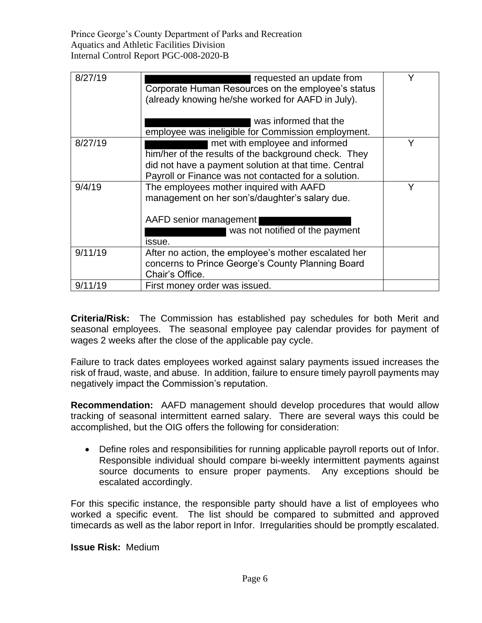| 8/27/19 | requested an update from<br>Corporate Human Resources on the employee's status<br>(already knowing he/she worked for AAFD in July).<br>was informed that the<br>employee was ineligible for Commission employment. | Y |
|---------|--------------------------------------------------------------------------------------------------------------------------------------------------------------------------------------------------------------------|---|
| 8/27/19 | met with employee and informed<br>him/her of the results of the background check. They<br>did not have a payment solution at that time. Central<br>Payroll or Finance was not contacted for a solution.            |   |
| 9/4/19  | The employees mother inquired with AAFD<br>management on her son's/daughter's salary due.<br>AAFD senior management<br>was not notified of the payment<br>issue.                                                   |   |
| 9/11/19 | After no action, the employee's mother escalated her<br>concerns to Prince George's County Planning Board<br>Chair's Office.                                                                                       |   |
| 9/11/19 | First money order was issued.                                                                                                                                                                                      |   |

**Criteria/Risk:** The Commission has established pay schedules for both Merit and seasonal employees. The seasonal employee pay calendar provides for payment of wages 2 weeks after the close of the applicable pay cycle.

Failure to track dates employees worked against salary payments issued increases the risk of fraud, waste, and abuse. In addition, failure to ensure timely payroll payments may negatively impact the Commission's reputation.

**Recommendation:** AAFD management should develop procedures that would allow tracking of seasonal intermittent earned salary. There are several ways this could be accomplished, but the OIG offers the following for consideration:

• Define roles and responsibilities for running applicable payroll reports out of Infor. Responsible individual should compare bi-weekly intermittent payments against source documents to ensure proper payments. Any exceptions should be escalated accordingly.

For this specific instance, the responsible party should have a list of employees who worked a specific event. The list should be compared to submitted and approved timecards as well as the labor report in Infor. Irregularities should be promptly escalated.

**Issue Risk:** Medium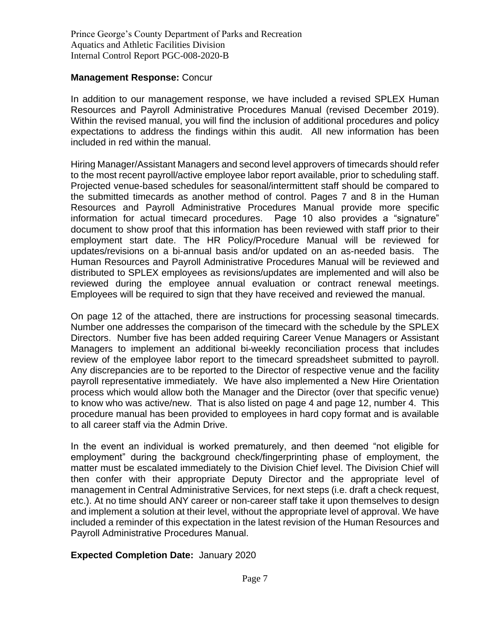#### **Management Response:** Concur

In addition to our management response, we have included a revised SPLEX Human Resources and Payroll Administrative Procedures Manual (revised December 2019). Within the revised manual, you will find the inclusion of additional procedures and policy expectations to address the findings within this audit. All new information has been included in red within the manual.

Hiring Manager/Assistant Managers and second level approvers of timecards should refer to the most recent payroll/active employee labor report available, prior to scheduling staff. Projected venue-based schedules for seasonal/intermittent staff should be compared to the submitted timecards as another method of control. Pages 7 and 8 in the Human Resources and Payroll Administrative Procedures Manual provide more specific information for actual timecard procedures. Page 10 also provides a "signature" document to show proof that this information has been reviewed with staff prior to their employment start date. The HR Policy/Procedure Manual will be reviewed for updates/revisions on a bi-annual basis and/or updated on an as-needed basis. The Human Resources and Payroll Administrative Procedures Manual will be reviewed and distributed to SPLEX employees as revisions/updates are implemented and will also be reviewed during the employee annual evaluation or contract renewal meetings. Employees will be required to sign that they have received and reviewed the manual.

On page 12 of the attached, there are instructions for processing seasonal timecards. Number one addresses the comparison of the timecard with the schedule by the SPLEX Directors. Number five has been added requiring Career Venue Managers or Assistant Managers to implement an additional bi-weekly reconciliation process that includes review of the employee labor report to the timecard spreadsheet submitted to payroll. Any discrepancies are to be reported to the Director of respective venue and the facility payroll representative immediately. We have also implemented a New Hire Orientation process which would allow both the Manager and the Director (over that specific venue) to know who was active/new. That is also listed on page 4 and page 12, number 4. This procedure manual has been provided to employees in hard copy format and is available to all career staff via the Admin Drive.

In the event an individual is worked prematurely, and then deemed "not eligible for employment" during the background check/fingerprinting phase of employment, the matter must be escalated immediately to the Division Chief level. The Division Chief will then confer with their appropriate Deputy Director and the appropriate level of management in Central Administrative Services, for next steps (i.e. draft a check request, etc.). At no time should ANY career or non-career staff take it upon themselves to design and implement a solution at their level, without the appropriate level of approval. We have included a reminder of this expectation in the latest revision of the Human Resources and Payroll Administrative Procedures Manual.

## **Expected Completion Date:** January 2020